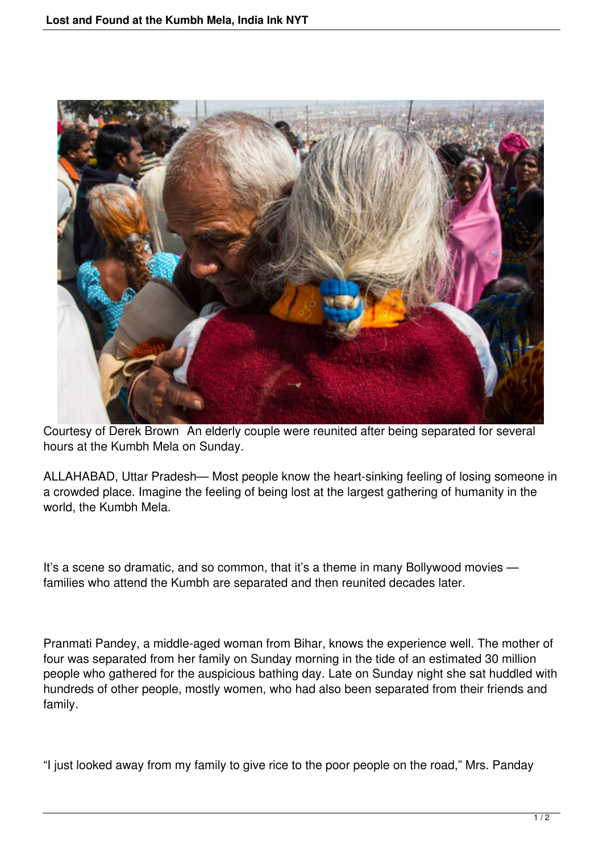

Courtesy of Derek Brown An elderly couple were reunited after being separated for several hours at the Kumbh Mela on Sunday.

ALLAHABAD, Uttar Pradesh— Most people know the heart-sinking feeling of losing someone in a crowded place. Imagine the feeling of being lost at the largest gathering of humanity in the world, the Kumbh Mela.

It's a scene so dramatic, and so common, that it's a theme in many Bollywood movies families who attend the Kumbh are separated and then reunited decades later.

Pranmati Pandey, a middle-aged woman from Bihar, knows the experience well. The mother of four was separated from her family on Sunday morning in the tide of an estimated 30 million people who gathered for the auspicious bathing day. Late on Sunday night she sat huddled with hundreds of other people, mostly women, who had also been separated from their friends and family.

"I just looked away from my family to give rice to the poor people on the road," Mrs. Panday